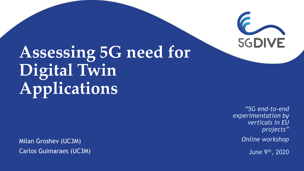

# **Assessing 5G need for Digital Twin Applications**

Milan Groshev (UC3M) Carlos Guimaraes (UC3M)

*"5G end-to-end experimentation by verticals in EU projects"*

*Online workshop*

June 9th, 2020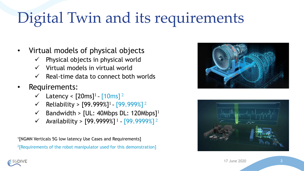## Digital Twin and its requirements

- Virtual models of physical objects
	- Physical objects in physical world
	- Virtual models in virtual world
	- Real-time data to connect both worlds
- Requirements:
	- $\checkmark$  Latency < [20ms]<sup>1</sup> [10ms]<sup>2</sup>
	- ✓ Reliability > [99.999%]<sup>1</sup> [99.999%] <sup>2</sup>
	- $\checkmark$  Bandwidth > [UL: 40Mbps DL: 120Mbps]<sup>1</sup>
	- ✓ Availability > [99.9999%] <sup>1</sup> [99.9999%] <sup>2</sup>

1 [NGMN Verticals 5G low latency Use Cases and Requirements] <sup>2</sup>[Requirements of the robot manipulator used for this demonstration]



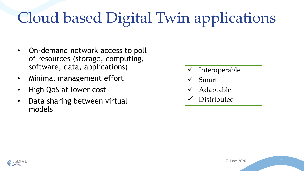# Cloud based Digital Twin applications

- On-demand network access to poll of resources (storage, computing, software, data, applications)
- Minimal management effort
- High QoS at lower cost
- Data sharing between virtual models
- ✓ Interoperable
- **Smart**
- ✓ Adaptable
- ✓ Distributed

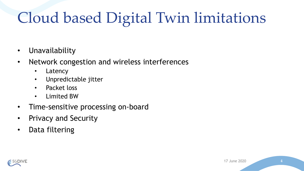## Cloud based Digital Twin limitations

- Unavailability
- Network congestion and wireless interferences
	- Latency
	- Unpredictable jitter
	- Packet loss
	- Limited BW
- Time-sensitive processing on-board
- Privacy and Security
- Data filtering

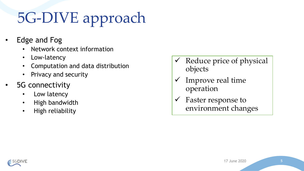# 5G-DIVE approach

- Edge and Fog
	- Network context information
	- Low-latency
	- Computation and data distribution
	- Privacy and security
- 5G connectivity
	- Low latency
	- High bandwidth
	- High reliability
- $\checkmark$  Reduce price of physical objects
- Improve real time operation
- $\checkmark$  Faster response to environment changes

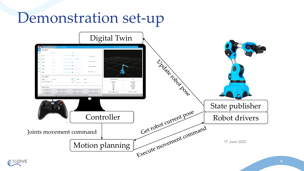

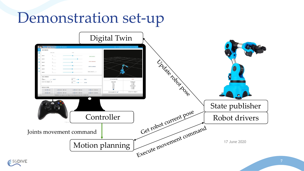

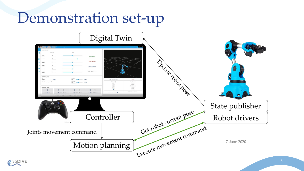

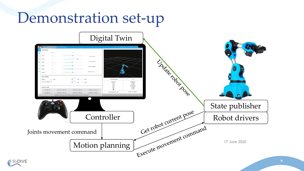

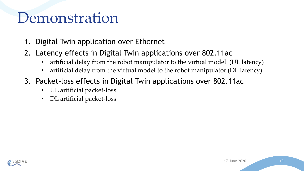#### Demonstration

- 1. Digital Twin application over Ethernet
- 2. Latency effects in Digital Twin applications over 802.11ac
	- artificial delay from the robot manipulator to the virtual model (UL latency)
	- artificial delay from the virtual model to the robot manipulator (DL latency)
- 3. Packet-loss effects in Digital Twin applications over 802.11ac
	- UL artificial packet-loss
	- DL artificial packet-loss

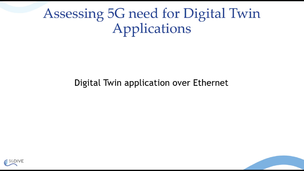#### Assessing 5G need for Digital Twin Applications

#### Digital Twin application over Ethernet



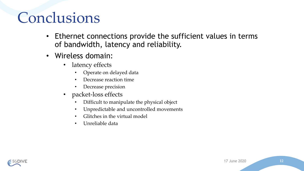## Conclusions

- Ethernet connections provide the sufficient values in terms of bandwidth, latency and reliability.
- Wireless domain:
	- latency effects
		- Operate on delayed data
		- Decrease reaction time
		- Decrease precision
	- packet-loss effects
		- Difficult to manipulate the physical object
		- Unpredictable and uncontrolled movements
		- Glitches in the virtual model
		- Unreliable data